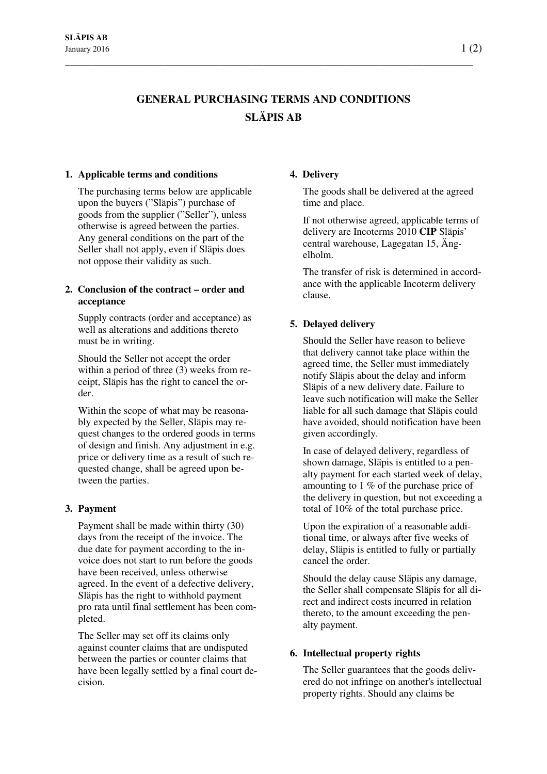# **GENERAL PURCHASING TERMS AND CONDITIONS SLÄPIS AB**

\_\_\_\_\_\_\_\_\_\_\_\_\_\_\_\_\_\_\_\_\_\_\_\_\_\_\_\_\_\_\_\_\_\_\_\_\_\_\_\_\_\_\_\_\_\_\_\_\_\_\_\_\_\_\_\_\_\_\_\_\_\_\_\_\_\_\_\_\_\_\_\_\_\_

### **1. Applicable terms and conditions**

The purchasing terms below are applicable upon the buyers ("Släpis") purchase of goods from the supplier ("Seller"), unless otherwise is agreed between the parties. Any general conditions on the part of the Seller shall not apply, even if Släpis does not oppose their validity as such.

## **2. Conclusion of the contract – order and acceptance**

Supply contracts (order and acceptance) as well as alterations and additions thereto must be in writing.

Should the Seller not accept the order within a period of three (3) weeks from receipt, Släpis has the right to cancel the order.

Within the scope of what may be reasonably expected by the Seller, Släpis may request changes to the ordered goods in terms of design and finish. Any adjustment in e.g. price or delivery time as a result of such requested change, shall be agreed upon between the parties.

### **3. Payment**

Payment shall be made within thirty (30) days from the receipt of the invoice. The due date for payment according to the invoice does not start to run before the goods have been received, unless otherwise agreed. In the event of a defective delivery, Släpis has the right to withhold payment pro rata until final settlement has been completed.

The Seller may set off its claims only against counter claims that are undisputed between the parties or counter claims that have been legally settled by a final court decision.

## **4. Delivery**

The goods shall be delivered at the agreed time and place.

If not otherwise agreed, applicable terms of delivery are Incoterms 2010 **CIP** Släpis' central warehouse, Lagegatan 15, Ängelholm.

The transfer of risk is determined in accordance with the applicable Incoterm delivery clause.

# **5. Delayed delivery**

Should the Seller have reason to believe that delivery cannot take place within the agreed time, the Seller must immediately notify Släpis about the delay and inform Släpis of a new delivery date. Failure to leave such notification will make the Seller liable for all such damage that Släpis could have avoided, should notification have been given accordingly.

In case of delayed delivery, regardless of shown damage, Släpis is entitled to a penalty payment for each started week of delay, amounting to 1 % of the purchase price of the delivery in question, but not exceeding a total of 10% of the total purchase price.

Upon the expiration of a reasonable additional time, or always after five weeks of delay, Släpis is entitled to fully or partially cancel the order.

Should the delay cause Släpis any damage, the Seller shall compensate Släpis for all direct and indirect costs incurred in relation thereto, to the amount exceeding the penalty payment.

# **6. Intellectual property rights**

The Seller guarantees that the goods delivered do not infringe on another's intellectual property rights. Should any claims be